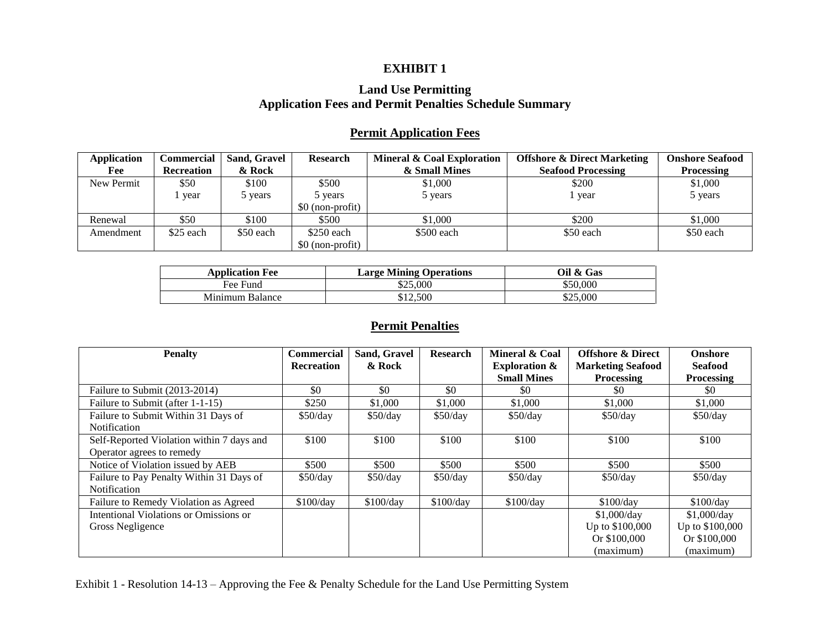## **EXHIBIT 1**

## **Land Use Permitting Application Fees and Permit Penalties Schedule Summary**

## **Permit Application Fees**

| <b>Application</b><br>Fee | Commercial<br><b>Recreation</b> | Sand, Gravel<br>& Rock | <b>Research</b>  | Mineral & Coal Exploration<br>& Small Mines | <b>Offshore &amp; Direct Marketing</b><br><b>Seafood Processing</b> | <b>Onshore Seafood</b><br><b>Processing</b> |
|---------------------------|---------------------------------|------------------------|------------------|---------------------------------------------|---------------------------------------------------------------------|---------------------------------------------|
| New Permit                | \$50                            | \$100                  | \$500            | \$1,000                                     | \$200                                                               | \$1,000                                     |
|                           | l year                          | vears                  | 5 years          | 5 years                                     | vear                                                                | 5 years                                     |
|                           |                                 |                        | \$0 (non-profit) |                                             |                                                                     |                                             |
| Renewal                   | \$50                            | \$100                  | \$500            | \$1,000                                     | \$200                                                               | \$1,000                                     |
| Amendment                 | \$25 each                       | \$50 each              | $$250$ each      | \$500 each                                  | \$50 each                                                           | \$50 each                                   |
|                           |                                 |                        | \$0 (non-profit) |                                             |                                                                     |                                             |

| <b>Application Fee</b> | <b>Large Mining Operations</b> | Oil & Gas |
|------------------------|--------------------------------|-----------|
| Fee Fund               | \$25,000                       | \$50,000  |
| Minimum Balance        | \$12,500                       | \$25,000  |

## **Permit Penalties**

| <b>Penalty</b>                            | <b>Commercial</b> | Sand, Gravel | <b>Research</b> | Mineral & Coal           | <b>Offshore &amp; Direct</b> | <b>Onshore</b>    |
|-------------------------------------------|-------------------|--------------|-----------------|--------------------------|------------------------------|-------------------|
|                                           | <b>Recreation</b> | & Rock       |                 | <b>Exploration &amp;</b> | <b>Marketing Seafood</b>     | <b>Seafood</b>    |
|                                           |                   |              |                 | <b>Small Mines</b>       | <b>Processing</b>            | <b>Processing</b> |
| Failure to Submit (2013-2014)             | \$0               | \$0          | \$0             | \$0                      | SO.                          | SO.               |
| Failure to Submit (after 1-1-15)          | \$250             | \$1,000      | \$1,000         | \$1,000                  | \$1,000                      | \$1,000           |
| Failure to Submit Within 31 Days of       | \$50/day          | \$50/day     | \$50/day        | \$50/day                 | \$50/day                     | \$50/day          |
| Notification                              |                   |              |                 |                          |                              |                   |
| Self-Reported Violation within 7 days and | \$100             | \$100        | \$100           | \$100                    | \$100                        | \$100             |
| Operator agrees to remedy                 |                   |              |                 |                          |                              |                   |
| Notice of Violation issued by AEB         | \$500             | \$500        | \$500           | \$500                    | \$500                        | \$500             |
| Failure to Pay Penalty Within 31 Days of  | \$50/day          | \$50/day     | \$50/day        | \$50/day                 | \$50/day                     | \$50/day          |
| Notification                              |                   |              |                 |                          |                              |                   |
| Failure to Remedy Violation as Agreed     | \$100/day         | \$100/day    | \$100/day       | \$100/day                | \$100/day                    | \$100/day         |
| Intentional Violations or Omissions or    |                   |              |                 |                          | \$1,000/day                  | \$1,000/day       |
| Gross Negligence                          |                   |              |                 |                          | Up to \$100,000              | Up to \$100,000   |
|                                           |                   |              |                 |                          | Or \$100,000                 | Or \$100,000      |
|                                           |                   |              |                 |                          | (maximum)                    | (maximum)         |

Exhibit 1 - Resolution 14-13 – Approving the Fee & Penalty Schedule for the Land Use Permitting System